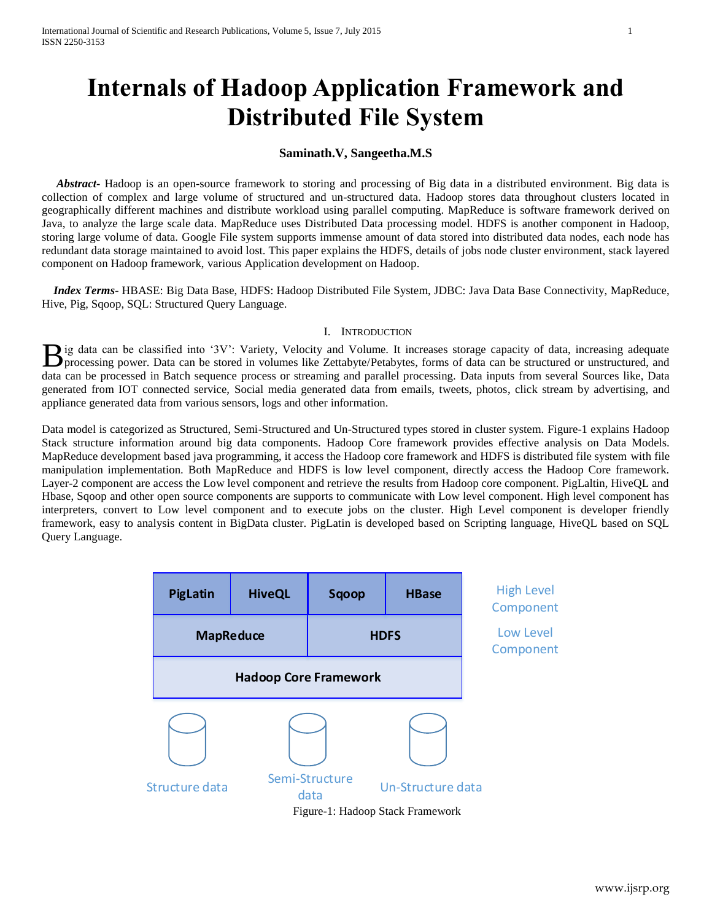# **Internals of Hadoop Application Framework and Distributed File System**

# **Saminath.V, Sangeetha.M.S**

 *Abstract***-** Hadoop is an open-source framework to storing and processing of Big data in a distributed environment. Big data is collection of complex and large volume of structured and un-structured data. Hadoop stores data throughout clusters located in geographically different machines and distribute workload using parallel computing. MapReduce is software framework derived on Java, to analyze the large scale data. MapReduce uses Distributed Data processing model. HDFS is another component in Hadoop, storing large volume of data. Google File system supports immense amount of data stored into distributed data nodes, each node has redundant data storage maintained to avoid lost. This paper explains the HDFS, details of jobs node cluster environment, stack layered component on Hadoop framework, various Application development on Hadoop.

 *Index Terms*- HBASE: Big Data Base, HDFS: Hadoop Distributed File System, JDBC: Java Data Base Connectivity, MapReduce, Hive, Pig, Sqoop, SQL: Structured Query Language.

## I. INTRODUCTION

ig data can be classified into '3V': Variety, Velocity and Volume. It increases storage capacity of data, increasing adequate B ig data can be classified into '3V': Variety, Velocity and Volume. It increases storage capacity of data, increasing adequate processing power. Data can be structured in volumes like Zettabyte/Petabytes, forms of data ca data can be processed in Batch sequence process or streaming and parallel processing. Data inputs from several Sources like, Data generated from IOT connected service, Social media generated data from emails, tweets, photos, click stream by advertising, and appliance generated data from various sensors, logs and other information.

Data model is categorized as Structured, Semi-Structured and Un-Structured types stored in cluster system. Figure-1 explains Hadoop Stack structure information around big data components. Hadoop Core framework provides effective analysis on Data Models. MapReduce development based java programming, it access the Hadoop core framework and HDFS is distributed file system with file manipulation implementation. Both MapReduce and HDFS is low level component, directly access the Hadoop Core framework. Layer-2 component are access the Low level component and retrieve the results from Hadoop core component. PigLaltin, HiveQL and Hbase, Sqoop and other open source components are supports to communicate with Low level component. High level component has interpreters, convert to Low level component and to execute jobs on the cluster. High Level component is developer friendly framework, easy to analysis content in BigData cluster. PigLatin is developed based on Scripting language, HiveQL based on SQL Query Language.

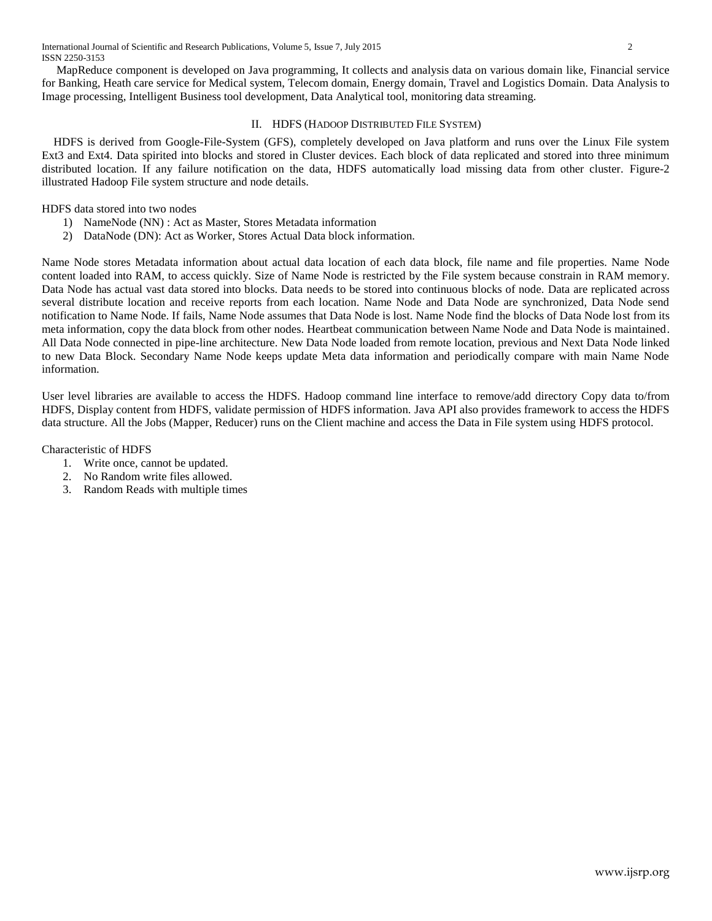MapReduce component is developed on Java programming, It collects and analysis data on various domain like, Financial service for Banking, Heath care service for Medical system, Telecom domain, Energy domain, Travel and Logistics Domain. Data Analysis to Image processing, Intelligent Business tool development, Data Analytical tool, monitoring data streaming.

# II. HDFS (HADOOP DISTRIBUTED FILE SYSTEM)

 HDFS is derived from Google-File-System (GFS), completely developed on Java platform and runs over the Linux File system Ext3 and Ext4. Data spirited into blocks and stored in Cluster devices. Each block of data replicated and stored into three minimum distributed location. If any failure notification on the data, HDFS automatically load missing data from other cluster. Figure-2 illustrated Hadoop File system structure and node details.

# HDFS data stored into two nodes

- 1) NameNode (NN) : Act as Master, Stores Metadata information
- 2) DataNode (DN): Act as Worker, Stores Actual Data block information.

Name Node stores Metadata information about actual data location of each data block, file name and file properties. Name Node content loaded into RAM, to access quickly. Size of Name Node is restricted by the File system because constrain in RAM memory. Data Node has actual vast data stored into blocks. Data needs to be stored into continuous blocks of node. Data are replicated across several distribute location and receive reports from each location. Name Node and Data Node are synchronized, Data Node send notification to Name Node. If fails, Name Node assumes that Data Node is lost. Name Node find the blocks of Data Node lost from its meta information, copy the data block from other nodes. Heartbeat communication between Name Node and Data Node is maintained. All Data Node connected in pipe-line architecture. New Data Node loaded from remote location, previous and Next Data Node linked to new Data Block. Secondary Name Node keeps update Meta data information and periodically compare with main Name Node information.

User level libraries are available to access the HDFS. Hadoop command line interface to remove/add directory Copy data to/from HDFS, Display content from HDFS, validate permission of HDFS information. Java API also provides framework to access the HDFS data structure. All the Jobs (Mapper, Reducer) runs on the Client machine and access the Data in File system using HDFS protocol.

# Characteristic of HDFS

- 1. Write once, cannot be updated.
- 2. No Random write files allowed.
- 3. Random Reads with multiple times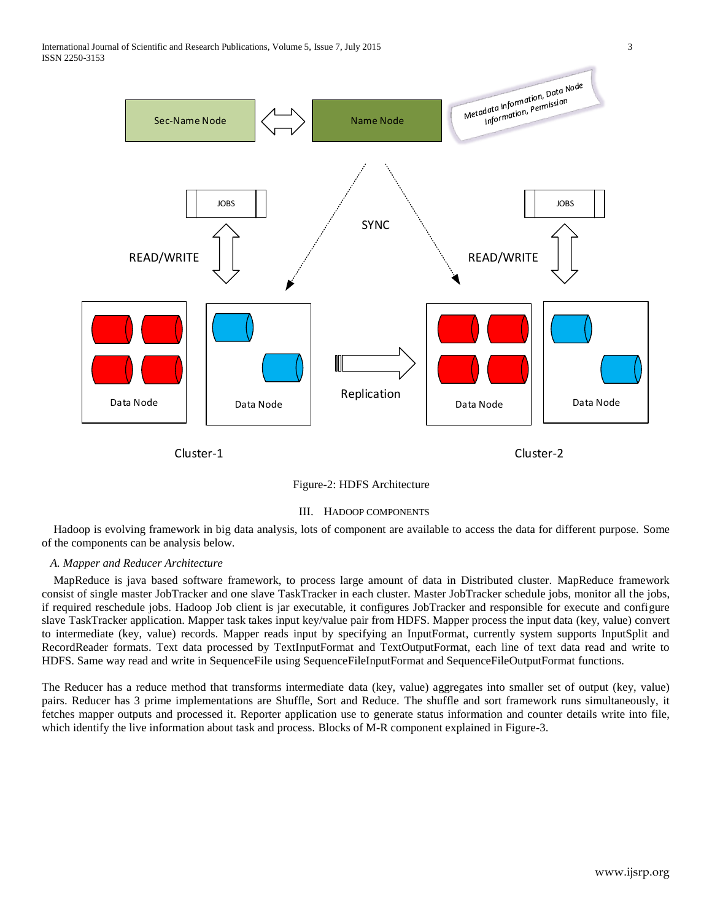



#### III. HADOOP COMPONENTS

 Hadoop is evolving framework in big data analysis, lots of component are available to access the data for different purpose. Some of the components can be analysis below.

#### *A. Mapper and Reducer Architecture*

 MapReduce is java based software framework, to process large amount of data in Distributed cluster. MapReduce framework consist of single master JobTracker and one slave TaskTracker in each cluster. Master JobTracker schedule jobs, monitor all the jobs, if required reschedule jobs. Hadoop Job client is jar executable, it configures JobTracker and responsible for execute and configure slave TaskTracker application. Mapper task takes input key/value pair from HDFS. Mapper process the input data (key, value) convert to intermediate (key, value) records. Mapper reads input by specifying an InputFormat, currently system supports InputSplit and RecordReader formats. Text data processed by TextInputFormat and TextOutputFormat, each line of text data read and write to HDFS. Same way read and write in SequenceFile using SequenceFileInputFormat and SequenceFileOutputFormat functions.

The Reducer has a reduce method that transforms intermediate data (key, value) aggregates into smaller set of output (key, value) pairs. Reducer has 3 prime implementations are Shuffle, Sort and Reduce. The shuffle and sort framework runs simultaneously, it fetches mapper outputs and processed it. Reporter application use to generate status information and counter details write into file, which identify the live information about task and process. Blocks of M-R component explained in Figure-3.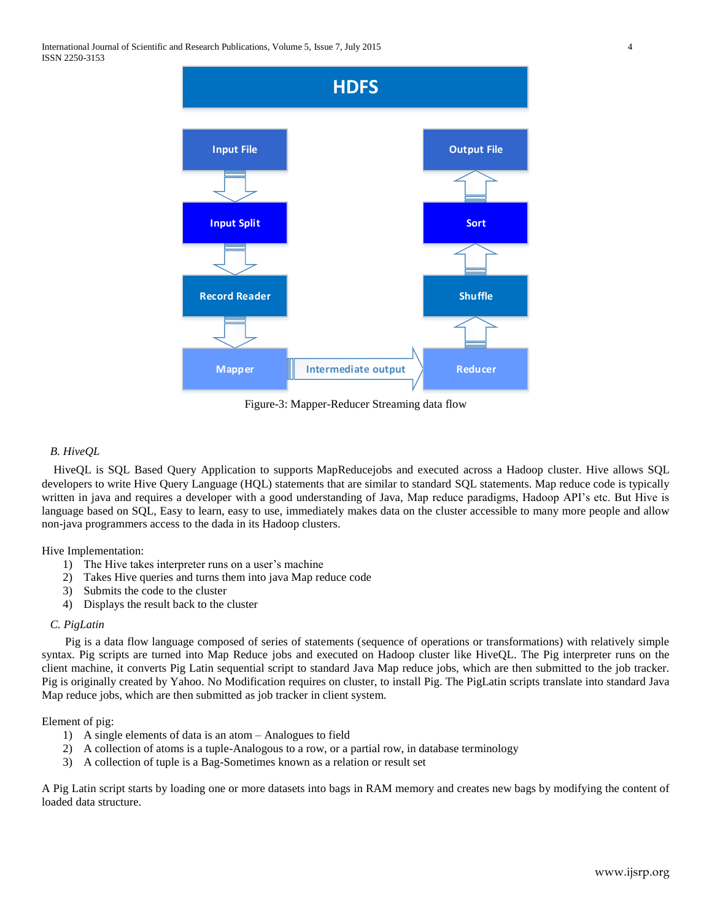

Figure-3: Mapper-Reducer Streaming data flow

# *B. HiveQL*

 HiveQL is SQL Based Query Application to supports [MapReducej](http://www.ibm.com/software/data/infosphere/hadoop/mapreduce/)obs and executed across a Hadoop cluster. Hive allows SQL developers to write Hive Query Language (HQL) statements that are similar to standard SQL statements. Map reduce code is typically written in java and requires a developer with a good understanding of Java, Map reduce paradigms, Hadoop API's etc. But Hive is language based on SQL, Easy to learn, easy to use, immediately makes data on the cluster accessible to many more people and allow non-java programmers access to the dada in its Hadoop clusters.

Hive Implementation:

- 1) The Hive takes interpreter runs on a user's machine
- 2) Takes Hive queries and turns them into java Map reduce code
- 3) Submits the code to the cluster
- 4) Displays the result back to the cluster

#### *C. PigLatin*

 Pig is a data flow language composed of series of statements (sequence of operations or transformations) with relatively simple syntax. Pig scripts are turned into Map Reduce jobs and executed on Hadoop cluster like HiveQL. The Pig interpreter runs on the client machine, it converts Pig Latin sequential script to standard Java Map reduce jobs, which are then submitted to the job tracker. Pig is originally created by Yahoo. No Modification requires on cluster, to install Pig. The PigLatin scripts translate into standard Java Map reduce jobs, which are then submitted as job tracker in client system.

Element of pig:

- 1) A single elements of data is an atom Analogues to field
- 2) A collection of atoms is a tuple-Analogous to a row, or a partial row, in database terminology
- 3) A collection of tuple is a Bag-Sometimes known as a relation or result set

A Pig Latin script starts by loading one or more datasets into bags in RAM memory and creates new bags by modifying the content of loaded data structure.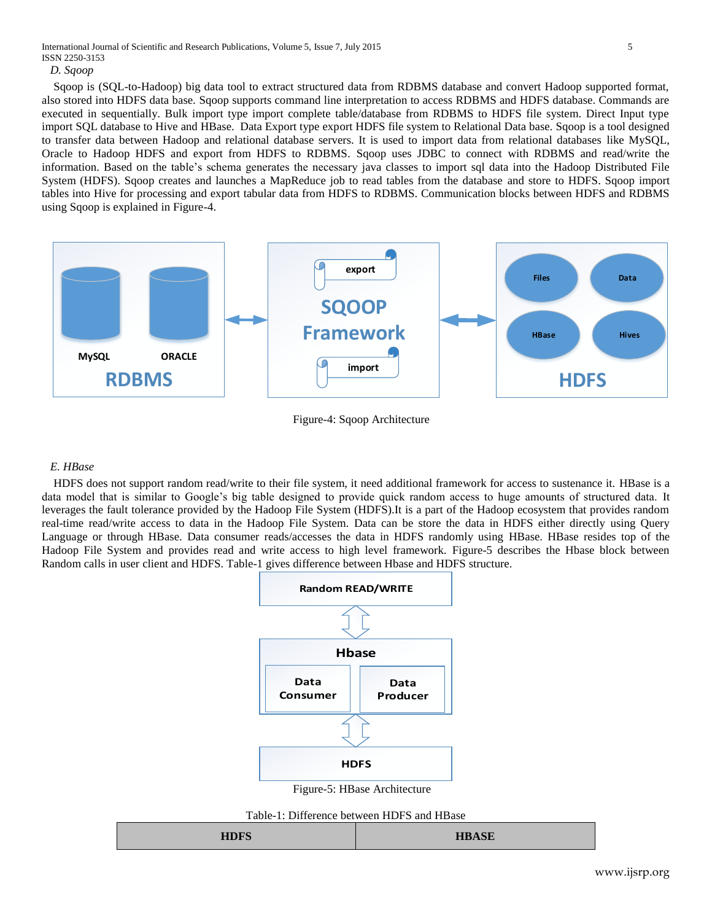*D. Sqoop*

 Sqoop is (SQL-to-Hadoop) big data tool to extract structured data from RDBMS database and convert Hadoop supported format, also stored into HDFS data base. Sqoop supports command line interpretation to access RDBMS and HDFS database. Commands are executed in sequentially. Bulk import type import complete table/database from RDBMS to HDFS file system. Direct Input type import SQL database to Hive and HBase. Data Export type export HDFS file system to Relational Data base. Sqoop is a tool designed to transfer data between Hadoop and relational database servers. It is used to import data from relational databases like MySQL, Oracle to Hadoop HDFS and export from HDFS to RDBMS. Sqoop uses JDBC to connect with RDBMS and read/write the information. Based on the table's schema generates the necessary java classes to import sql data into the Hadoop Distributed File System (HDFS). Sqoop creates and launches a MapReduce job to read tables from the database and store to HDFS. Sqoop import tables into Hive for processing and export tabular data from HDFS to RDBMS. Communication blocks between HDFS and RDBMS using Sqoop is explained in Figure-4.



Figure-4: Sqoop Architecture

#### *E. HBase*

 HDFS does not support random read/write to their file system, it need additional framework for access to sustenance it. HBase is a data model that is similar to Google's big table designed to provide quick random access to huge amounts of structured data. It leverages the fault tolerance provided by the Hadoop File System (HDFS).It is a part of the Hadoop ecosystem that provides random real-time read/write access to data in the Hadoop File System. Data can be store the data in HDFS either directly using Query Language or through HBase. Data consumer reads/accesses the data in HDFS randomly using HBase. HBase resides top of the Hadoop File System and provides read and write access to high level framework. Figure-5 describes the Hbase block between Random calls in user client and HDFS. Table-1 gives difference between Hbase and HDFS structure.



Figure-5: HBase Architecture

Table-1: Difference between HDFS and HBase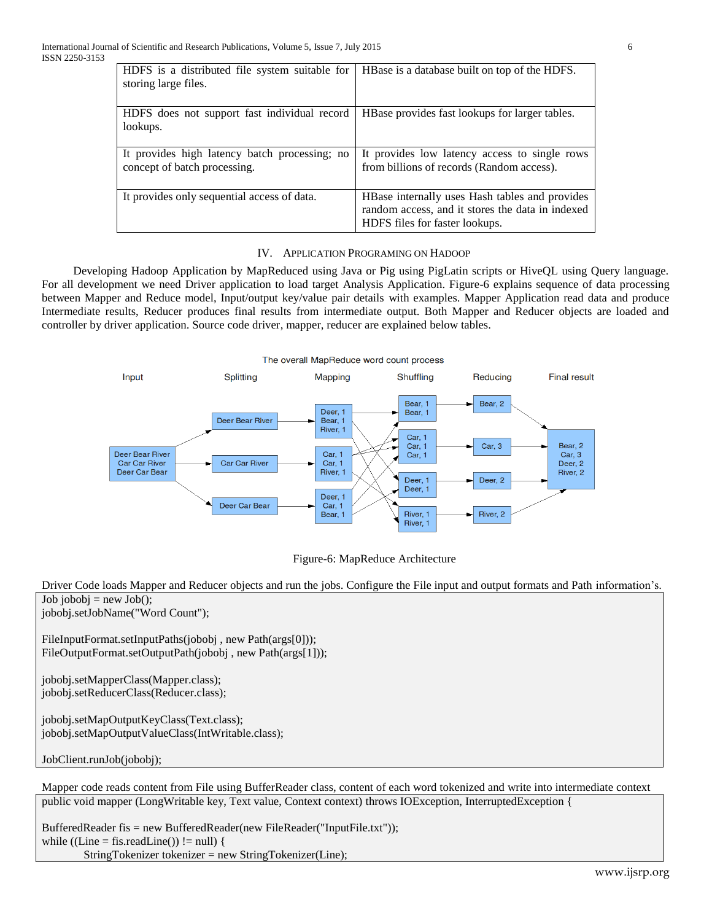| HDFS is a distributed file system suitable for<br>storing large files.        | HBase is a database built on top of the HDFS.                                                                                        |
|-------------------------------------------------------------------------------|--------------------------------------------------------------------------------------------------------------------------------------|
| HDFS does not support fast individual record<br>lookups.                      | HBase provides fast lookups for larger tables.                                                                                       |
| It provides high latency batch processing; no<br>concept of batch processing. | It provides low latency access to single rows<br>from billions of records (Random access).                                           |
| It provides only sequential access of data.                                   | HBase internally uses Hash tables and provides<br>random access, and it stores the data in indexed<br>HDFS files for faster lookups. |

# IV. APPLICATION PROGRAMING ON HADOOP

Developing Hadoop Application by MapReduced using Java or Pig using PigLatin scripts or HiveQL using Query language. For all development we need Driver application to load target Analysis Application. Figure-6 explains sequence of data processing between Mapper and Reduce model, Input/output key/value pair details with examples. Mapper Application read data and produce Intermediate results, Reducer produces final results from intermediate output. Both Mapper and Reducer objects are loaded and controller by driver application. Source code driver, mapper, reducer are explained below tables.





Driver Code loads Mapper and Reducer objects and run the jobs. Configure the File input and output formats and Path information's.  $Job jobobj = new Job();$ jobobj.setJobName("Word Count"); FileInputFormat.setInputPaths(jobobj, new Path(args[0])); FileOutputFormat.setOutputPath(jobobj, new Path(args[1])); jobobj.setMapperClass(Mapper.class); jobobj.setReducerClass(Reducer.class); jobobj.setMapOutputKeyClass(Text.class); jobobj.setMapOutputValueClass(IntWritable.class); JobClient.runJob(jobobj); Mapper code reads content from File using BufferReader class, content of each word tokenized and write into intermediate context public void mapper (LongWritable key, Text value, Context context) throws IOException, InterruptedException {

BufferedReader fis = new BufferedReader(new FileReader("InputFile.txt")); while  $((Line = fis.readLine()) \equiv null)$  { StringTokenizer tokenizer = new StringTokenizer(Line);